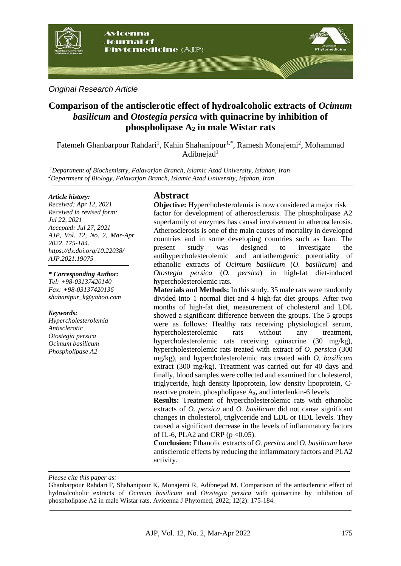

#### *Original Research Article*

# **Comparison of the antisclerotic effect of hydroalcoholic extracts of** *Ocimum basilicum* **and** *Otostegia persica* **with quinacrine by inhibition of phospholipase A<sup>2</sup> in male Wistar rats**

Fatemeh Ghanbarpour Rahdari<sup>1</sup>, Kahin Shahanipour<sup>1,\*</sup>, Ramesh Monajemi<sup>2</sup>, Mohammad  $Adibneiad<sup>1</sup>$ 

*<sup>1</sup>Department of Biochemistry, Falavarjan Branch, Islamic Azad University, Isfahan, Iran <sup>2</sup>Department of Biology, Falavarjan Branch, Islamic Azad University, Isfahan, Iran*

#### *Article history:*

*Received: Apr 12, 2021 Received in revised form: Jul 22, 2021 Accepted: Jul 27, 2021 AJP, Vol. 12, No. 2, Mar-Apr 2022, 175-184. https://dx.doi.org/10.22038/ AJP.2021.19075*

*\* Corresponding Author: Tel: +98-03137420140 Fax: +98-03137420136 shahanipur\_k@yahoo.com* 

#### *Keywords:*

*Hypercholesterolemia Antisclerotic Otostegia persica Ocimum basilicum Phospholipase A2*

### **Abstract**

**Objective:** Hypercholesterolemia is now considered a major risk factor for development of atherosclerosis. The phospholipase A2 superfamily of enzymes has causal involvement in atherosclerosis. Atherosclerosis is one of the main causes of mortality in developed countries and in some developing countries such as Iran. The present study was designed to investigate the antihypercholesterolemic and antiatherogenic potentiality of ethanolic extracts of *Ocimum basilicum* (*O. basilicum*) and *Otostegia persica* (*O. persica*) in high-fat diet-induced hypercholesterolemic rats.

**Materials and Methods:** In this study, 35 male rats were randomly divided into 1 normal diet and 4 high-fat diet groups. After two months of high-fat diet, measurement of cholesterol and LDL showed a significant difference between the groups. The 5 groups were as follows: Healthy rats receiving physiological serum, hypercholesterolemic rats without any treatment, hypercholesterolemic rats receiving quinacrine (30 mg/kg), hypercholesterolemic rats treated with extract of *O. persica* (300 mg/kg), and hypercholesterolemic rats treated with *O. basilicum* extract (300 mg/kg). Treatment was carried out for 40 days and finally, blood samples were collected and examined for cholesterol, triglyceride, high density lipoprotein, low density lipoprotein, Creactive protein, phospholipase A**2,** and interleukin-6 levels.

**Results:** Treatment of hypercholesterolemic rats with ethanolic extracts of *O. persica* and *O. basilicum* did not cause significant changes in cholesterol, triglyceride and LDL or HDL levels. They caused a significant decrease in the levels of inflammatory factors of IL-6, PLA2 and CRP ( $p < 0.05$ ).

**Conclusion:** Ethanolic extracts of *O. persica* and *O. basilicum* have antisclerotic effects by reducing the inflammatory factors and PLA2 activity.

*Please cite this paper as:* 

Ghanbarpour Rahdari F, Shahanipour K, Monajemi R, Adibnejad M. Comparison of the antisclerotic effect of hydroalcoholic extracts of *Ocimum basilicum* and *Otostegia persica* with quinacrine by inhibition of phospholipase A2 in male Wistar rats. Avicenna J Phytomed, 2022; 12(2): 175-184.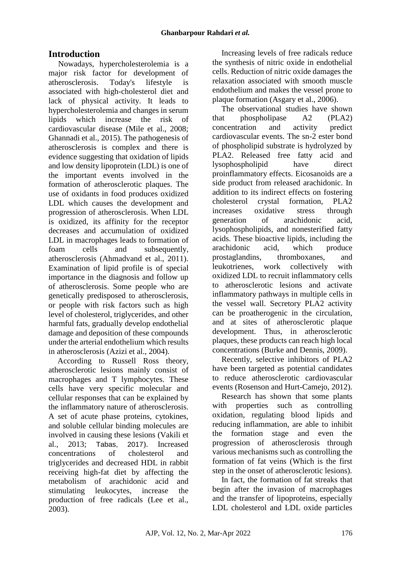# **Introduction**

Nowadays, hypercholesterolemia is a major risk factor for development of atherosclerosis. Today's lifestyle is associated with high-cholesterol diet and lack of physical activity. It leads to hypercholesterolemia and changes in serum lipids which increase the risk of cardiovascular disease (Mile et al., 2008; Ghannadi et al., 2015). The pathogenesis of atherosclerosis is complex and there is evidence suggesting that oxidation of lipids and low density lipoprotein (LDL) is one of the important events involved in the formation of atherosclerotic plaques. The use of oxidants in food produces oxidized LDL which causes the development and progression of atherosclerosis. When LDL is oxidized, its affinity for the receptor decreases and accumulation of oxidized LDL in macrophages leads to formation of foam cells and subsequently, atherosclerosis (Ahmadvand et al., 2011). Examination of lipid profile is of special importance in the diagnosis and follow up of atherosclerosis. Some people who are genetically predisposed to atherosclerosis, or people with risk factors such as high level of cholesterol, triglycerides, and other harmful fats, gradually develop endothelial damage and deposition of these compounds under the arterial endothelium which results in atherosclerosis (Azizi et al., 2004).

According to Russell Ross theory, atherosclerotic lesions mainly consist of macrophages and T lymphocytes. These cells have very specific molecular and cellular responses that can be explained by the inflammatory nature of atherosclerosis. A set of acute phase proteins, cytokines, and soluble cellular binding molecules are involved in causing these lesions (Vakili et al., 2013; Tabas, 2017). Increased concentrations of cholesterol and triglycerides and decreased HDL in rabbit receiving high-fat diet by affecting the metabolism of arachidonic acid and stimulating leukocytes, increase the production of free radicals (Lee et al., 2003).

Increasing levels of free radicals reduce the synthesis of nitric oxide in endothelial cells. Reduction of nitric oxide damages the relaxation associated with smooth muscle endothelium and makes the vessel prone to plaque formation (Asgary et al., 2006).

The observational studies have shown that phospholipase A2 (PLA2) concentration and activity predict cardiovascular events. The sn-2 ester bond of phospholipid substrate is hydrolyzed by PLA2. Released free fatty acid and lysophospholipid have direct proinflammatory effects. Eicosanoids are a side product from released arachidonic. In addition to its indirect effects on fostering cholesterol crystal formation, PLA2 increases oxidative stress through generation of arachidonic acid, lysophospholipids, and nonesterified fatty acids. These bioactive lipids, including the arachidonic acid, which produce prostaglandins, thromboxanes, and leukotrienes, work collectively with oxidized LDL to recruit inflammatory cells to atherosclerotic lesions and activate inflammatory pathways in multiple cells in the vessel wall. Secretory PLA2 activity can be proatherogenic in the circulation, and at sites of atherosclerotic plaque development. Thus, in atherosclerotic plaques, these products can reach high local concentrations (Burke and Dennis, 2009).

Recently, selective inhibitors of PLA2 have been targeted as potential candidates to reduce atherosclerotic cardiovascular events (Rosenson and Hurt-Camejo, 2012).

Research has shown that some plants with properties such as controlling oxidation, regulating blood lipids and reducing inflammation, are able to inhibit the formation stage and even the progression of atherosclerosis through various mechanisms such as controlling the formation of fat veins (Which is the first step in the onset of atherosclerotic lesions).

In fact, the formation of fat streaks that begin after the invasion of macrophages and the transfer of lipoproteins, especially LDL cholesterol and LDL oxide particles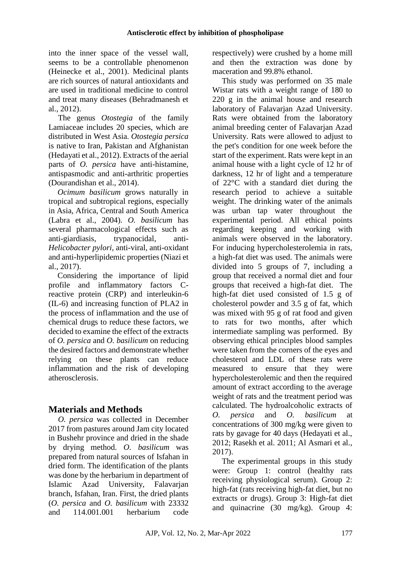into the inner space of the vessel wall, seems to be a controllable phenomenon (Heinecke et al., 2001). Medicinal plants are rich sources of natural antioxidants and are used in traditional medicine to control and treat many diseases (Behradmanesh et al., 2012).

The genus *Otostegia* of the family Lamiaceae includes 20 species, which are distributed in West Asia. *Otostegia persica* is native to Iran, Pakistan and Afghanistan (Hedayati et al., 2012). Extracts of the aerial parts of *O. persica* have anti-histamine, antispasmodic and anti-arthritic properties (Dourandishan et al., 2014).

*Ocimum basilicum* grows naturally in tropical and subtropical regions, especially in Asia, Africa, Central and South America (Labra et al., 2004). *O. basilicum* has several pharmacological effects such as anti-giardiasis, trypanocidal, anti-*Helicobacter pylori*, anti-viral, anti-oxidant and anti-hyperlipidemic properties (Niazi et al., 2017).

Considering the importance of lipid profile and inflammatory factors Creactive protein (CRP) and interleukin-6 (IL-6) and increasing function of PLA2 in the process of inflammation and the use of chemical drugs to reduce these factors, we decided to examine the effect of the extracts of *O. persica* and *O. basilicum* on reducing the desired factors and demonstrate whether relying on these plants can reduce inflammation and the risk of developing atherosclerosis.

# **Materials and Methods**

*O. persica* was collected in December 2017 from pastures around Jam city located in Bushehr province and dried in the shade by drying method. *O. basilicum* was prepared from natural sources of Isfahan in dried form. The identification of the plants was done by the herbarium in department of Islamic Azad University, Falavarjan branch, Isfahan, Iran. First, the dried plants (*O. persica* and *O. basilicum* with 23332 and 114.001.001 herbarium code respectively) were crushed by a home mill and then the extraction was done by maceration and 99.8% ethanol.

This study was performed on 35 male Wistar rats with a weight range of 180 to 220 g in the animal house and research laboratory of Falavarjan Azad University. Rats were obtained from the laboratory animal breeding center of Falavarjan Azad University. Rats were allowed to adjust to the pet's condition for one week before the start of the experiment. Rats were kept in an animal house with a light cycle of 12 hr of darkness, 12 hr of light and a temperature of 22°C with a standard diet during the research period to achieve a suitable weight. The drinking water of the animals was urban tap water throughout the experimental period. All ethical points regarding keeping and working with animals were observed in the laboratory. For inducing hypercholesterolemia in rats, a high-fat diet was used. The animals were divided into 5 groups of 7, including a group that received a normal diet and four groups that received a high-fat diet. The high-fat diet used consisted of 1.5 g of cholesterol powder and 3.5 g of fat, which was mixed with 95 g of rat food and given to rats for two months, after which intermediate sampling was performed. By observing ethical principles blood samples were taken from the corners of the eyes and cholesterol and LDL of these rats were measured to ensure that they were hypercholesterolemic and then the required amount of extract according to the average weight of rats and the treatment period was calculated. The hydroalcoholic extracts of *O. persica* and *O. basilicum* at concentrations of 300 mg/kg were given to rats by gavage for 40 days (Hedayati et al., 2012; Rasekh et al. 2011; Al Asmari et al., 2017).

The experimental groups in this study were: Group 1: control (healthy rats receiving physiological serum). Group 2: high-fat (rats receiving high-fat diet, but no extracts or drugs). Group 3: High-fat diet and quinacrine (30 mg/kg). Group 4: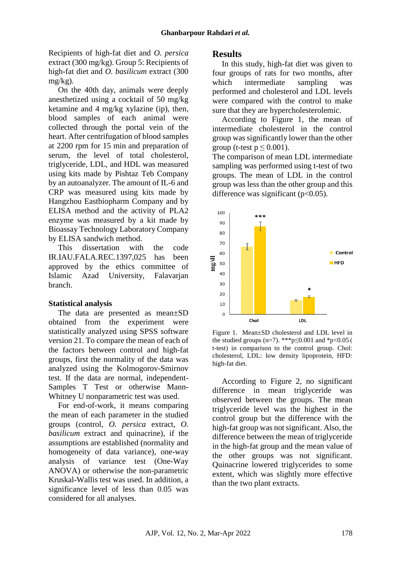Recipients of high-fat diet and *O. persica* extract (300 mg/kg). Group 5: Recipients of high-fat diet and *O. basilicum* extract (300 mg/kg).

On the 40th day, animals were deeply anesthetized using a cocktail of 50 mg/kg ketamine and 4 mg/kg xylazine (ip), then, blood samples of each animal were collected through the portal vein of the heart. After centrifugation of blood samples at 2200 rpm for 15 min and preparation of serum, the level of total cholesterol, triglyceride, LDL, and HDL was measured using kits made by Pishtaz Teb Company by an autoanalyzer. The amount of IL-6 and CRP was measured using kits made by Hangzhou Eastbiopharm Company and by ELISA method and the activity of PLA2 enzyme was measured by a kit made by Bioassay Technology Laboratory Company by ELISA sandwich method.

This dissertation with the code IR.IAU.FALA.REC.1397,025 has been approved by the ethics committee of Islamic Azad University, Falavarjan branch.

#### **Statistical analysis**

The data are presented as mean±SD obtained from the experiment were statistically analyzed using SPSS software version 21. To compare the mean of each of the factors between control and high-fat groups, first the normality of the data was analyzed using the Kolmogorov-Smirnov test. If the data are normal, independent-Samples T Test or otherwise Mann-Whitney U nonparametric test was used.

For end-of-work, it means comparing the mean of each parameter in the studied groups (control, *O. persica* extract, *O. basilicum* extract and quinacrine), if the assumptions are established (normality and homogeneity of data variance), one-way analysis of variance test (One-Way ANOVA) or otherwise the non-parametric Kruskal-Wallis test was used. In addition, a significance level of less than 0.05 was considered for all analyses.

#### **Results**

In this study, high-fat diet was given to four groups of rats for two months, after which intermediate sampling was performed and cholesterol and LDL levels were compared with the control to make sure that they are hypercholesterolemic.

According to Figure 1, the mean of intermediate cholesterol in the control group was significantly lower than the other group (t-test  $p \le 0.001$ ).

The comparison of mean LDL intermediate sampling was performed using t-test of two groups. The mean of LDL in the control group was less than the other group and this difference was significant  $(p<0.05)$ .



Figure 1. Mean±SD cholesterol and LDL level in the studied groups (n=7). \*\*\*p≤0.001 and \*p<0.05 ( t-test) in comparison to the control group. Chol: cholesterol, LDL: low density lipoprotein, HFD: high-fat diet.

According to Figure 2, no significant difference in mean triglyceride was observed between the groups. The mean triglyceride level was the highest in the control group but the difference with the high-fat group was not significant. Also, the difference between the mean of triglyceride in the high-fat group and the mean value of the other groups was not significant. Quinacrine lowered triglycerides to some extent, which was slightly more effective than the two plant extracts.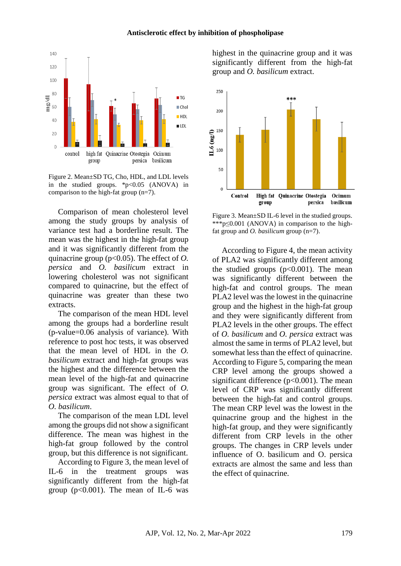

Figure 2. Mean±SD TG, Cho, HDL, and LDL levels in the studied groups.  $\frac{1}{2}P < 0.05$  (ANOVA) in comparison to the high-fat group (n=7).

Comparison of mean cholesterol level among the study groups by analysis of variance test had a borderline result. The mean was the highest in the high-fat group and it was significantly different from the quinacrine group (p<0.05). The effect of *O. persica* and *O. basilicum* extract in lowering cholesterol was not significant compared to quinacrine, but the effect of quinacrine was greater than these two extracts.

The comparison of the mean HDL level among the groups had a borderline result (p-value=0.06 analysis of variance). With reference to post hoc tests, it was observed that the mean level of HDL in the *O. basilicum* extract and high-fat groups was the highest and the difference between the mean level of the high-fat and quinacrine group was significant. The effect of *O. persica* extract was almost equal to that of *O. basilicum*.

The comparison of the mean LDL level among the groups did not show a significant difference. The mean was highest in the high-fat group followed by the control group, but this difference is not significant.

According to Figure 3, the mean level of IL-6 in the treatment groups was significantly different from the high-fat group  $(p<0.001)$ . The mean of IL-6 was highest in the quinacrine group and it was significantly different from the high-fat group and *O. basilicum* extract.



Figure 3. Mean±SD IL-6 level in the studied groups. \*\*\*p $\leq 0.001$  (ANOVA) in comparison to the highfat group and *O. basilicum* group (n=7).

According to Figure 4, the mean activity of PLA2 was significantly different among the studied groups  $(p<0.001)$ . The mean was significantly different between the high-fat and control groups. The mean PLA2 level was the lowest in the quinacrine group and the highest in the high-fat group and they were significantly different from PLA2 levels in the other groups. The effect of *O. basilicum* and *O. persica* extract was almost the same in terms of PLA2 level, but somewhat less than the effect of quinacrine. According to Figure 5, comparing the mean CRP level among the groups showed a significant difference  $(p<0.001)$ . The mean level of CRP was significantly different between the high-fat and control groups. The mean CRP level was the lowest in the quinacrine group and the highest in the high-fat group, and they were significantly different from CRP levels in the other groups. The changes in CRP levels under influence of O. basilicum and O. persica extracts are almost the same and less than the effect of quinacrine.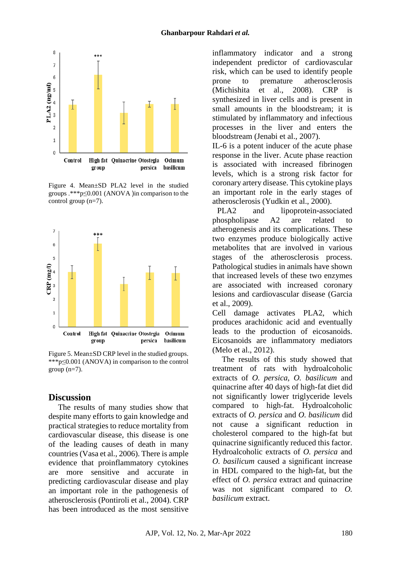

Figure 4. Mean±SD PLA2 level in the studied groups  $.***p\leq 0.001$  (ANOVA )in comparison to the control group (n=7).



Figure 5. Mean±SD CRP level in the studied groups. \*\*\*p≤0.001 (ANOVA) in comparison to the control group  $(n=7)$ .

#### **Discussion**

The results of many studies show that despite many efforts to gain knowledge and practical strategies to reduce mortality from cardiovascular disease, this disease is one of the leading causes of death in many countries (Vasa et al., 2006). There is ample evidence that proinflammatory cytokines are more sensitive and accurate in predicting cardiovascular disease and play an important role in the pathogenesis of atherosclerosis (Pontiroli et al., 2004). CRP has been introduced as the most sensitive

inflammatory indicator and a strong independent predictor of cardiovascular risk, which can be used to identify people prone to premature atherosclerosis (Michishita et al., 2008). CRP is synthesized in liver cells and is present in small amounts in the bloodstream; it is stimulated by inflammatory and infectious processes in the liver and enters the bloodstream (Jenabi et al., 2007).

IL-6 is a potent inducer of the acute phase response in the liver. Acute phase reaction is associated with increased fibrinogen levels, which is a strong risk factor for coronary artery disease. This cytokine plays an important role in the early stages of atherosclerosis (Yudkin et al., 2000).

PLA2 and lipoprotein-associated phospholipase A2 are related to atherogenesis and its complications. These two enzymes produce biologically active metabolites that are involved in various stages of the atherosclerosis process. Pathological studies in animals have shown that increased levels of these two enzymes are associated with increased coronary lesions and cardiovascular disease (Garcia et al., 2009).

Cell damage activates PLA2, which produces arachidonic acid and eventually leads to the production of eicosanoids. Eicosanoids are inflammatory mediators (Melo et al., 2012).

The results of this study showed that treatment of rats with hydroalcoholic extracts of *O. persica*, *O. basilicum* and quinacrine after 40 days of high-fat diet did not significantly lower triglyceride levels compared to high-fat. Hydroalcoholic extracts of *O. persica* and *O. basilicum* did not cause a significant reduction in cholesterol compared to the high-fat but quinacrine significantly reduced this factor. Hydroalcoholic extracts of *O. persica* and *O. basilicum* caused a significant increase in HDL compared to the high-fat, but the effect of *O. persica* extract and quinacrine was not significant compared to *O. basilicum* extract.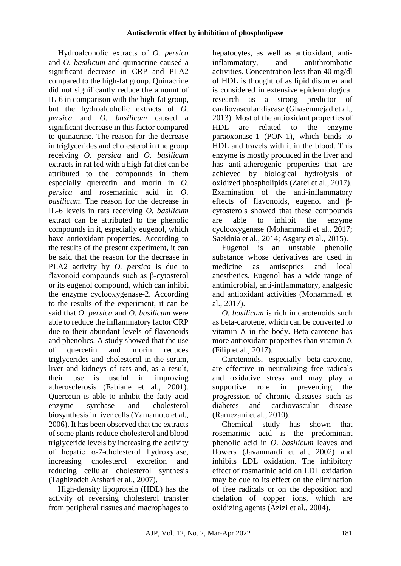Hydroalcoholic extracts of *O. persica* and *O. basilicum* and quinacrine caused a significant decrease in CRP and PLA2 compared to the high-fat group. Quinacrine did not significantly reduce the amount of IL-6 in comparison with the high-fat group, but the hydroalcoholic extracts of *O. persica* and *O. basilicum* caused a significant decrease in this factor compared to quinacrine. The reason for the decrease in triglycerides and cholesterol in the group receiving *O. persica* and *O. basilicum* extracts in rat fed with a high-fat diet can be attributed to the compounds in them especially quercetin and morin in *O. persica* and rosemarinic acid in *O. basilicum*. The reason for the decrease in IL-6 levels in rats receiving *O. basilicum* extract can be attributed to the phenolic compounds in it, especially eugenol, which have antioxidant properties. According to the results of the present experiment, it can be said that the reason for the decrease in PLA2 activity by *O. persica* is due to flavonoid compounds such as β-cytosterol or its eugenol compound, which can inhibit the enzyme cyclooxygenase-2. According to the results of the experiment, it can be said that *O. persica* and *O. basilicum* were able to reduce the inflammatory factor CRP due to their abundant levels of flavonoids and phenolics. A study showed that the use of quercetin and morin reduces triglycerides and cholesterol in the serum, liver and kidneys of rats and, as a result, their use is useful in improving atherosclerosis (Fabiane et al., 2001). Quercetin is able to inhibit the fatty acid enzyme synthase and cholesterol biosynthesis in liver cells (Yamamoto et al., 2006). It has been observed that the extracts of some plants reduce cholesterol and blood triglyceride levels by increasing the activity of hepatic α-7-cholesterol hydroxylase, increasing cholesterol excretion and reducing cellular cholesterol synthesis (Taghizadeh Afshari et al., 2007).

High-density lipoprotein (HDL) has the activity of reversing cholesterol transfer from peripheral tissues and macrophages to

hepatocytes, as well as antioxidant, antiinflammatory, and antithrombotic activities. Concentration less than 40 mg/dl of HDL is thought of as lipid disorder and is considered in extensive epidemiological research as a strong predictor of cardiovascular disease (Ghasemnejad et al., 2013). Most of the antioxidant properties of HDL are related to the enzyme paraoxonase-1 (PON-1), which binds to HDL and travels with it in the blood. This enzyme is mostly produced in the liver and has anti-atherogenic properties that are achieved by biological hydrolysis of oxidized phospholipids (Zarei et al., 2017). Examination of the anti-inflammatory effects of flavonoids, eugenol and βcytosterols showed that these compounds are able to inhibit the enzyme cyclooxygenase (Mohammadi et al., 2017; Saeidnia et al., 2014; Asgary et al., 2015).

Eugenol is an unstable phenolic substance whose derivatives are used in medicine as antiseptics and local anesthetics. Eugenol has a wide range of antimicrobial, anti-inflammatory, analgesic and antioxidant activities (Mohammadi et al., 2017).

*O. basilicum* is rich in carotenoids such as beta-carotene, which can be converted to vitamin A in the body. Beta-carotene has more antioxidant properties than vitamin A (Filip et al., 2017).

Carotenoids, especially beta-carotene, are effective in neutralizing free radicals and oxidative stress and may play a supportive role in preventing the progression of chronic diseases such as diabetes and cardiovascular disease (Ramezani et al., 2010).

Chemical study has shown that rosemarinic acid is the predominant phenolic acid in *O. basilicum* leaves and flowers (Javanmardi et al., 2002) and inhibits LDL oxidation. The inhibitory effect of rosmarinic acid on LDL oxidation may be due to its effect on the elimination of free radicals or on the deposition and chelation of copper ions, which are oxidizing agents (Azizi et al., 2004).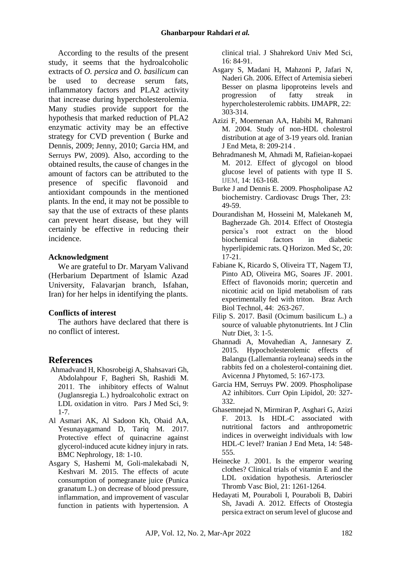According to the results of the present study, it seems that the hydroalcoholic extracts of *O. persica* and *O. basilicum* can be used to decrease serum fats, inflammatory factors and PLA2 activity that increase during hypercholesterolemia. Many studies provide support for the hypothesis that marked reduction of PLA2 enzymatic activity may be an effective strategy for CVD prevention ( Burke and Dennis, 2009; Jenny, 2010; Garcia HM, and Serruys PW, 2009). Also, according to the obtained results, the cause of changes in the amount of factors can be attributed to the presence of specific flavonoid and antioxidant compounds in the mentioned plants. In the end, it may not be possible to say that the use of extracts of these plants can prevent heart disease, but they will certainly be effective in reducing their incidence.

#### **Acknowledgment**

We are grateful to Dr. Maryam Valivand (Herbarium Department of Islamic Azad University, Falavarjan branch, Isfahan, Iran) for her helps in identifying the plants.

#### **Conflicts of interest**

The authors have declared that there is no conflict of interest.

### **References**

- Ahmadvand H, Khosrobeigi A, Shahsavari Gh, Abdolahpour F, Bagheri Sh, Rashidi M. 2011. The inhibitory effects of Walnut (Juglansregia L.) hydroalcoholic extract on LDL oxidation in vitro. Pars J Med Sci, 9: 1-7.
- Al Asmari AK, Al Sadoon Kh, Obaid AA, Yesunayagamand D, Tariq M. 2017. Protective effect of quinacrine against glycerol-induced acute kidney injury in rats. BMC Nephrology, 18: 1-10.
- Asgary S, Hashemi M, Goli-malekabadi N, Keshvari M. 2015. The effects of acute consumption of pomegranate juice (Punica granatum L.) on decrease of blood pressure, inflammation, and improvement of vascular function in patients with hypertension. A

clinical trial. J Shahrekord Univ Med Sci, 16: 84-91.

- Asgary S, Madani H, Mahzoni P, Jafari N, Naderi Gh. 2006. Effect of Artemisia sieberi Besser on plasma lipoproteins levels and progression of fatty streak in hypercholesterolemic rabbits. IJMAPR, 22: 303-314.
- Azizi F, Moemenan AA, Habibi M, Rahmani M. 2004. Study of non-HDL cholestrol distribution at age of 3-19 years old. Iranian J End Meta, 8: 209-214 .
- Behradmanesh M, Ahmadi M, Rafieian-kopaei M. 2012. Effect of glycogol on blood glucose level of patients with type II S. IJEM, 14: 163-168.
- Burke J and Dennis E. 2009. Phospholipase A2 biochemistry. Cardiovasc Drugs Ther, 23: 49-59.
- Dourandishan M, Hosseini M, Malekaneh M, Bagherzade Gh. 2014. Effect of Otostegia persica's root extract on the blood biochemical factors in diabetic hyperlipidemic rats. Q Horizon. Med Sc, 20: 17-21.
- Fabiane K, Ricardo S, Oliveira TT, Nagem TJ, Pinto AD, Oliveira MG, Soares JF. 2001. Effect of flavonoids morin; quercetin and nicotinic acid on lipid metabolism of rats experimentally fed with triton. Braz Arch Biol Technol, 44: 263-267.
- Filip S. 2017. Basil (Ocimum basilicum L.) a source of valuable phytonutrients. Int J Clin Nutr Diet, 3: 1-5.
- Ghannadi A, Movahedian A, Jannesary Z. 2015. Hypocholesterolemic effects of Balangu (Lallemantia royleana) seeds in the rabbits fed on a cholesterol-containing diet. Avicenna J Phytomed, 5: 167-173.
- Garcia HM, Serruys PW. 2009. Phospholipase A2 inhibitors. Curr Opin Lipidol, 20: 327- 332.
- Ghasemnejad N, Mirmiran P, Asghari G, Azizi F. 2013. Is HDL-C associated with nutritional factors and anthropometric indices in overweight individuals with low HDL-C level? Iranian J End Meta, 14: 548- 555.
- Heinecke J. 2001. Is the emperor wearing clothes? Clinical trials of vitamin E and the LDL oxidation hypothesis. Arterioscler Thromb Vasc Biol, 21: 1261-1264.
- Hedayati M, Pouraboli I, Pouraboli B, Dabiri Sh, Javadi A. 2012. Effects of Otostegia persica extract on serum level of glucose and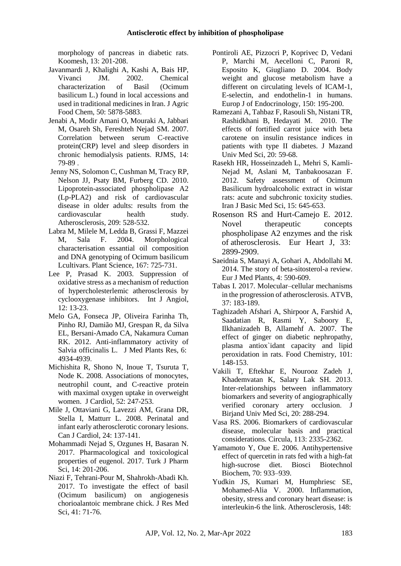morphology of pancreas in diabetic rats. Koomesh, 13: 201-208.

- Javanmardi J, Khalighi A, Kashi A, Bais HP, Vivanci JM. 2002. Chemical characterization of Basil (Ocimum basilicum L.) found in local accessions and used in traditional medicines in Iran. J Agric Food Chem, 50: 5878-5883.
- Jenabi A, Modir Amani O, Mouraki A, Jabbari M, Osareh Sh, Fereshteh Nejad SM. 2007. Correlation between serum C-reactive protein(CRP) level and sleep disorders in chronic hemodialysis patients. RJMS, 14: 79-89 .
- [Jenny](https://www.sciencedirect.com/science/article/abs/pii/S0021915009007345#!) NS, [Solomon](https://www.sciencedirect.com/science/article/abs/pii/S0021915009007345#!) C, [Cushman](https://www.sciencedirect.com/author/7103113524/mary-e-cushman) M, Tracy [RP,](https://www.sciencedirect.com/science/article/abs/pii/S0021915009007345#!) Nelson [JJ, Psaty](https://www.sciencedirect.com/science/article/abs/pii/S0021915009007345#!) BM, Furberg CD. 2010. Lipoprotein-associated phospholipase A2 (Lp-PLA2) and risk of cardiovascular disease in older adults: results from the cardiovascular health study. [Atherosclerosis,](https://www.sciencedirect.com/science/journal/00219150) 209: 528-532.
- Labra M, Milele M, Ledda B, Grassi F, Mazzei M, Sala F. 2004. Morphological characterisation essantial oil composition and DNA genotyping of Ocimum basilicum Lcultivars. Plant Science, 167: 725-731.
- Lee P, Prasad K. 2003. Suppression of oxidative stress as a mechanism of reduction of hypercholesterlemic atherosclerosis by cyclooxygenase inhibitors. Int J Angiol, 12: 13-23.
- Melo GA, Fonseca JP, Oliveira Farinha Th, Pinho RJ, Damião MJ, Grespan R, da Silva EL, Bersani-Amado CA, Nakamura Cuman RK. 2012. Anti-inflammatory activity of Salvia officinalis L. J Med Plants Res, 6: 4934-4939.
- Michishita R, Shono N, Inoue T, Tsuruta T, Node K. 2008. Associations of monocytes, neutrophil count, and C-reactive protein with maximal oxygen uptake in overweight women. J Cardiol, 52: 247-253.
- Mile J, Ottaviani G, Lavezzi AM, Grana DR, Stella I, Matturr L. 2008. Perinatal and infant early atherosclerotic coronary lesions. Can J Cardiol, 24: 137-141.
- Mohammadi Nejad S, Ozgunes H, Basaran N. 2017. Pharmacological and toxicological properties of eugenol. 2017. Turk J Pharm Sci, 14: 201-206.
- Niazi F, Tehrani-Pour M, Shahrokh-Abadi Kh. 2017. To investigate the effect of basil (Ocimum basilicum) on angiogenesis chorioalantoic membrane chick. J Res Med Sci, 41: 71-76.
- Pontiroli AE, Pizzocri P, Koprivec D, Vedani P, Marchi M, Aecelloni C, Paroni R, Esposito K, Giugliano D. 2004. Body weight and glucose metabolism have a different on circulating levels of ICAM-1, E-selectin, and endothelin-1 in humans. Europ J of Endocrinology, 150: 195-200.
- Ramezani A, Tahbaz F, Rasouli Sh, Nistani TR, Rashidkhani B, Hedayati M. 2010. The effects of fortified carrot juice with beta carotene on insulin resistance indices in patients with type II diabetes. J Mazand Univ Med Sci, 20: 59-68.
- Rasekh HR, Hosseinzadeh L, Mehri S, Kamli-Nejad M, Aslani M, Tanbakoosazan F. 2012. Safety assessment of Ocimum Basilicum hydroalcoholic extract in wistar rats: acute and subchronic toxicity studies. Iran J Basic Med Sci, 15: 645-653.
- Rosenson RS and Hurt-Camejo E. 2012. Novel therapeutic concepts phospholipase A2 enzymes and the risk of atherosclerosis. Eur Heart J, 33: 2899-2909.
- Saeidnia S, Manayi A, Gohari A, Abdollahi M. 2014. The story of beta-sitosterol-a review. Eur J Med Plants, 4: 590-609.
- Tabas I. 2017. Molecular–cellular mechanisms in the progression of atherosclerosis. ATVB, 37: 183-189.
- Taghizadeh Afshari A, Shirpoor A, Farshid A, Saadatian R, Rasmi Y, Saboory E, Ilkhanizadeh B, Allamehf A. 2007. The effect of ginger on diabetic nephropathy, plasma antiox`idant capacity and lipid peroxidation in rats. Food Chemistry, 101: 148-153.
- Vakili T, Eftekhar E, Nourooz Zadeh J, Khademvatan K, Salary Lak SH. 2013. Inter-relationships between inflammatory biomarkers and severity of angiographically verified coronary artery occlusion. J Birjand Univ Med Sci, 20: 288-294.
- Vasa RS. 2006. Biomarkers of cardiovascular disease, molecular basis and practical considerations. Circula, 113: 2335-2362.
- Yamamoto Y, Oue E. 2006. Antihypertensive effect of quercetin in rats fed with a high-fat high-sucrose diet. Biosci Biotechnol Biochem, 70: 933–939.
- Yudkin JS, Kumari M, Humphriesc SE, Mohamed-Alia V. 2000. Inflammation, obesity, stress and coronary heart disease: is interleukin-6 the link. Atherosclerosis, 148: